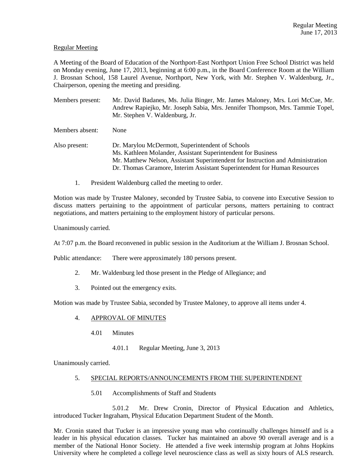## Regular Meeting

A Meeting of the Board of Education of the Northport-East Northport Union Free School District was held on Monday evening, June 17, 2013, beginning at 6:00 p.m., in the Board Conference Room at the William J. Brosnan School, 158 Laurel Avenue, Northport, New York, with Mr. Stephen V. Waldenburg, Jr., Chairperson, opening the meeting and presiding.

Members present: Mr. David Badanes, Ms. Julia Binger, Mr. James Maloney, Mrs. Lori McCue, Mr. Andrew Rapiejko, Mr. Joseph Sabia, Mrs. Jennifer Thompson, Mrs. Tammie Topel, Mr. Stephen V. Waldenburg, Jr.

Members absent: None

- Also present: Dr. Marylou McDermott, Superintendent of Schools Ms. Kathleen Molander, Assistant Superintendent for Business Mr. Matthew Nelson, Assistant Superintendent for Instruction and Administration Dr. Thomas Caramore, Interim Assistant Superintendent for Human Resources
	- 1. President Waldenburg called the meeting to order.

Motion was made by Trustee Maloney, seconded by Trustee Sabia, to convene into Executive Session to discuss matters pertaining to the appointment of particular persons, matters pertaining to contract negotiations, and matters pertaining to the employment history of particular persons.

Unanimously carried.

At 7:07 p.m. the Board reconvened in public session in the Auditorium at the William J. Brosnan School.

Public attendance: There were approximately 180 persons present.

- 2. Mr. Waldenburg led those present in the Pledge of Allegiance; and
- 3. Pointed out the emergency exits.

Motion was made by Trustee Sabia, seconded by Trustee Maloney, to approve all items under 4.

# 4. APPROVAL OF MINUTES

- 4.01 Minutes
	- 4.01.1 Regular Meeting, June 3, 2013

Unanimously carried.

## 5. SPECIAL REPORTS/ANNOUNCEMENTS FROM THE SUPERINTENDENT

5.01 Accomplishments of Staff and Students

5.01.2 Mr. Drew Cronin, Director of Physical Education and Athletics, introduced Tucker Ingraham, Physical Education Department Student of the Month.

Mr. Cronin stated that Tucker is an impressive young man who continually challenges himself and is a leader in his physical education classes. Tucker has maintained an above 90 overall average and is a member of the National Honor Society. He attended a five week internship program at Johns Hopkins University where he completed a college level neuroscience class as well as sixty hours of ALS research.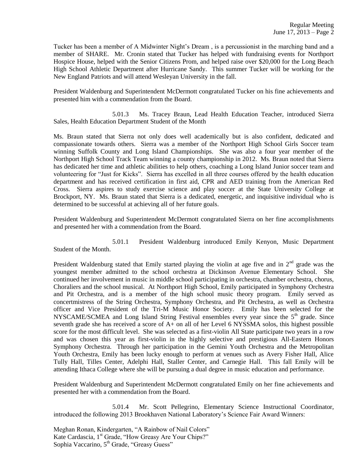Tucker has been a member of A Midwinter Night's Dream , is a percussionist in the marching band and a member of SHARE. Mr. Cronin stated that Tucker has helped with fundraising events for Northport Hospice House, helped with the Senior Citizens Prom, and helped raise over \$20,000 for the Long Beach High School Athletic Department after Hurricane Sandy. This summer Tucker will be working for the New England Patriots and will attend Wesleyan University in the fall.

President Waldenburg and Superintendent McDermott congratulated Tucker on his fine achievements and presented him with a commendation from the Board.

5.01.3 Ms. Tracey Braun, Lead Health Education Teacher, introduced Sierra Sales, Health Education Department Student of the Month

Ms. Braun stated that Sierra not only does well academically but is also confident, dedicated and compassionate towards others. Sierra was a member of the Northport High School Girls Soccer team winning Suffolk County and Long Island Championships. She was also a four year member of the Northport High School Track Team winning a county championship in 2012. Ms. Braun noted that Sierra has dedicated her time and athletic abilities to help others, coaching a Long Island Junior soccer team and volunteering for "Just for Kicks". Sierra has excelled in all three courses offered by the health education department and has received certification in first aid, CPR and AED training from the American Red Cross. Sierra aspires to study exercise science and play soccer at the State University College at Brockport, NY. Ms. Braun stated that Sierra is a dedicated, energetic, and inquisitive individual who is determined to be successful at achieving all of her future goals.

President Waldenburg and Superintendent McDermott congratulated Sierra on her fine accomplishments and presented her with a commendation from the Board.

5.01.1 President Waldenburg introduced Emily Kenyon, Music Department Student of the Month.

President Waldenburg stated that Emily started playing the violin at age five and in  $2<sup>nd</sup>$  grade was the youngest member admitted to the school orchestra at Dickinson Avenue Elementary School. She continued her involvement in music in middle school participating in orchestra, chamber orchestra, chorus, Choraliers and the school musical. At Northport High School, Emily participated in Symphony Orchestra and Pit Orchestra, and is a member of the high school music theory program. Emily served as concertmistress of the String Orchestra, Symphony Orchestra, and Pit Orchestra, as well as Orchestra officer and Vice President of the Tri-M Music Honor Society. Emily has been selected for the NYSCAME/SCMEA and Long Island String Festival ensembles every year since the 5<sup>th</sup> grade. Since seventh grade she has received a score of A+ on all of her Level 6 NYSSMA solos, this highest possible score for the most difficult level. She was selected as a first-violin All State participate two years in a row and was chosen this year as first-violin in the highly selective and prestigious All-Eastern Honors Symphony Orchestra. Through her participation in the Gemini Youth Orchestra and the Metropolitan Youth Orchestra, Emily has been lucky enough to perform at venues such as Avery Fisher Hall, Alice Tully Hall, Tilles Center, Adelphi Hall, Staller Center, and Carnegie Hall. This fall Emily will be attending Ithaca College where she will be pursuing a dual degree in music education and performance.

President Waldenburg and Superintendent McDermott congratulated Emily on her fine achievements and presented her with a commendation from the Board.

5.01.4 Mr. Scott Pellegrino, Elementary Science Instructional Coordinator, introduced the following 2013 Brookhaven National Laboratory's Science Fair Award Winners:

Meghan Ronan, Kindergarten, "A Rainbow of Nail Colors" Kate Cardascia, 1<sup>st</sup> Grade, "How Greasy Are Your Chips?" Sophia Vaccarino, 5<sup>th</sup> Grade, "Greasy Guess"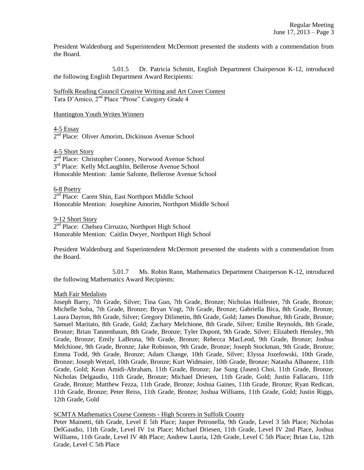President Waldenburg and Superintendent McDermott presented the students with a commendation from the Board.

5.01.5 Dr. Patricia Schmitt, English Department Chairperson K-12, introduced the following English Department Award Recipients:

Suffolk Reading Council Creative Writing and Art Cover Contest Tara D'Amico, 2nd Place "Prose" Category Grade 4

Huntington Youth Writes Winners

4-5 Essay

2<sup>nd</sup> Place: Oliver Amorim, Dickinson Avenue School

4-5 Short Story

2<sup>nd</sup> Place: Christopher Cooney, Norwood Avenue School 3<sup>rd</sup> Place: Kelly McLaughlin, Bellerose Avenue School Honorable Mention: Jamie Safonte, Bellerose Avenue School

6-8 Poetry 2<sup>nd</sup> Place: Caren Shin, East Northport Middle School Honorable Mention: Josephine Amorim, Northport Middle School

9-12 Short Story 2<sup>nd</sup> Place: Chelsea Cirruzzo, Northport High School Honorable Mention: Caitlin Dwyer, Northport High School

President Waldenburg and Superintendent McDermott presented the students with a commendation from the Board.

5.01.7 Ms. Robin Rann, Mathematics Department Chairperson K-12, introduced the following Mathematics Award Recipients:

### Math Fair Medalists

Joseph Barry, 7th Grade, Silver; Tina Guo, 7th Grade, Bronze; Nicholas Holfester, 7th Grade, Bronze; Michelle Soba, 7th Grade, Bronze; Bryan Vogt, 7th Grade, Bronze; Gabriella Bica, 8th Grade, Bronze; Laura Dayton, 8th Grade, Silver; Gregory Dilimetin, 8th Grade, Gold; James Donohue, 8th Grade, Bronze; Samuel Maritato, 8th Grade, Gold; Zachary Melchione, 8th Grade, Silver; Emilie Reynolds, 8th Grade, Bronze; Brian Tannenbaum, 8th Grade, Bronze; Tyler Dupont, 9th Grade, Silver; Elizabeth Hensley, 9th Grade, Bronze; Emily LaBruna, 9th Grade, Bronze; Rebecca MacLeod, 9th Grade, Bronze; Joshua Melchione, 9th Grade, Bronze; Jake Robinson, 9th Grade, Bronze; Joseph Stockman, 9th Grade, Bronze; Emma Todd, 9th Grade, Bronze; Adam Change, 10th Grade, Silver; Elyssa Jozefowski, 10th Grade, Bronze; Joseph Wetzel, 10th Grade, Bronze; Kurt Widmaier, 10th Grade, Bronze; Natasha Albaneze, 11th Grade, Gold; Kean Amidi-Abraham, 11th Grade, Bronze; Jae Sung (Jasen) Choi, 11th Grade, Bronze; Nicholas Delgaudio, 11th Grade, Bronze; Michael Driesen, 11th Grade, Gold; Justin Fallacaro, 11th Grade, Bronze; Matthew Fezza, 11th Grade, Bronze; Joshua Gaines, 11th Grade, Bronze; Ryan Redican, 11th Grade, Bronze; Peter Reiss, 11th Grade, Bronze; Joshua Williams, 11th Grade, Gold; Justin Riggs, 12th Grade, Gold

## SCMTA Mathematics Course Contests - High Scorers in Suffolk County

Peter Mainetti, 6th Grade, Level E 5th Place; Jasper Petronella, 9th Grade, Level 3 5th Place; Nicholas DelGaudio, 11th Grade, Level IV 1st Place; Michael Driesen, 11th Grade, Level IV 2nd Place, Joshua Williams, 11th Grade, Level IV 4th Place; Andrew Lauria, 12th Grade, Level C 5th Place; Brian Liu, 12th Grade, Level C 5th Place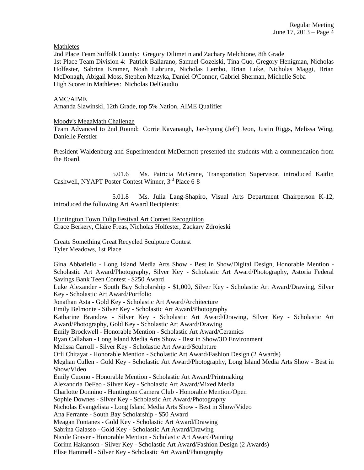**Mathletes** 

2nd Place Team Suffolk County: Gregory Dilimetin and Zachary Melchione, 8th Grade 1st Place Team Division 4: Patrick Ballarano, Samuel Gozelski, Tina Guo, Gregory Henigman, Nicholas Holfester, Sabrina Kramer, Noah Labruna, Nicholas Lembo, Brian Luke, Nicholas Maggi, Brian McDonagh, Abigail Moss, Stephen Muzyka, Daniel O'Connor, Gabriel Sherman, Michelle Soba High Scorer in Mathletes: Nicholas DelGaudio

#### AMC/AIME

Amanda Slawinski, 12th Grade, top 5% Nation, AIME Qualifier

#### Moody's MegaMath Challenge

Team Advanced to 2nd Round: Corrie Kavanaugh, Jae-hyung (Jeff) Jeon, Justin Riggs, Melissa Wing, Danielle Ferstler

President Waldenburg and Superintendent McDermott presented the students with a commendation from the Board.

5.01.6 Ms. Patricia McGrane, Transportation Supervisor, introduced Kaitlin Cashwell, NYAPT Poster Contest Winner, 3<sup>rd</sup> Place 6-8

5.01.8 Ms. Julia Lang-Shapiro, Visual Arts Department Chairperson K-12, introduced the following Art Award Recipients:

Huntington Town Tulip Festival Art Contest Recognition Grace Berkery, Claire Freas, Nicholas Holfester, Zackary Zdrojeski

Create Something Great Recycled Sculpture Contest

Tyler Meadows, 1st Place

Gina Abbatiello - Long Island Media Arts Show - Best in Show/Digital Design, Honorable Mention - Scholastic Art Award/Photography, Silver Key - Scholastic Art Award/Photography, Astoria Federal Savings Bank Teen Contest - \$250 Award

Luke Alexander - South Bay Scholarship - \$1,000, Silver Key - Scholastic Art Award/Drawing, Silver Key - Scholastic Art Award/Portfolio

Jonathan Asta - Gold Key - Scholastic Art Award/Architecture

Emily Belmonte - Silver Key - Scholastic Art Award/Photography

Katharine Brandow - Silver Key - Scholastic Art Award/Drawing, Silver Key - Scholastic Art Award/Photography, Gold Key - Scholastic Art Award/Drawing

Emily Brockwell - Honorable Mention - Scholastic Art Award/Ceramics

Ryan Callahan - Long Island Media Arts Show - Best in Show/3D Environment

Melissa Carroll - Silver Key - Scholastic Art Award/Sculpture

Orli Chitayat - Honorable Mention - Scholastic Art Award/Fashion Design (2 Awards)

Meghan Cullen - Gold Key - Scholastic Art Award/Photography, Long Island Media Arts Show - Best in Show/Video

Emily Cuomo - Honorable Mention - Scholastic Art Award/Printmaking

Alexandria DeFeo - Silver Key - Scholastic Art Award/Mixed Media

Charlotte Donnino - Huntington Camera Club - Honorable Mention/Open

Sophie Downes - Silver Key - Scholastic Art Award/Photography

Nicholas Evangelista - Long Island Media Arts Show - Best in Show/Video

Ana Ferrante - South Bay Scholarship - \$50 Award

Meagan Fontanes - Gold Key - Scholastic Art Award/Drawing

Sabrina Galasso - Gold Key - Scholastic Art Award/Drawing

Nicole Graver - Honorable Mention - Scholastic Art Award/Painting

Corinn Hakanson - Silver Key - Scholastic Art Award/Fashion Design (2 Awards)

Elise Hammell - Silver Key - Scholastic Art Award/Photography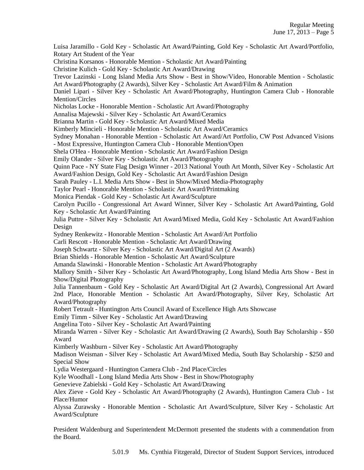Luisa Jaramillo - Gold Key - Scholastic Art Award/Painting, Gold Key - Scholastic Art Award/Portfolio, Rotary Art Student of the Year Christina Korsanos - Honorable Mention - Scholastic Art Award/Painting Christine Kulich - Gold Key - Scholastic Art Award/Drawing Trevor Lazinski - Long Island Media Arts Show - Best in Show/Video, Honorable Mention - Scholastic Art Award/Photography (2 Awards), Silver Key - Scholastic Art Award/Film & Animation Daniel Lipari - Silver Key - Scholastic Art Award/Photography, Huntington Camera Club - Honorable Mention/Circles Nicholas Locke - Honorable Mention - Scholastic Art Award/Photography Annalisa Majewski - Silver Key - Scholastic Art Award/Ceramics Brianna Martin - Gold Key - Scholastic Art Award/Mixed Media Kimberly Mincieli - Honorable Mention - Scholastic Art Award/Ceramics Sydney Monahan - Honorable Mention - Scholastic Art Award/Art Portfolio, CW Post Advanced Visions - Most Expressive, Huntington Camera Club - Honorable Mention/Open Shela O'Hea - Honorable Mention - Scholastic Art Award/Fashion Design Emily Olander - Silver Key - Scholastic Art Award/Photography Quinn Pace - NY State Flag Design Winner - 2013 National Youth Art Month, Silver Key - Scholastic Art Award/Fashion Design, Gold Key - Scholastic Art Award/Fashion Design Sarah Pauley - L.I. Media Arts Show - Best in Show/Mixed Media-Photography Taylor Pearl - Honorable Mention - Scholastic Art Award/Printmaking Monica Piendak - Gold Key - Scholastic Art Award/Sculpture Carolyn Pucillo - Congressional Art Award Winner, Silver Key - Scholastic Art Award/Painting, Gold Key - Scholastic Art Award/Painting Julia Puttre - Silver Key - Scholastic Art Award/Mixed Media, Gold Key - Scholastic Art Award/Fashion Design Sydney Renkewitz - Honorable Mention - Scholastic Art Award/Art Portfolio Carli Rescott - Honorable Mention - Scholastic Art Award/Drawing Joseph Schwartz - Silver Key - Scholastic Art Award/Digital Art (2 Awards) Brian Shields - Honorable Mention - Scholastic Art Award/Sculpture Amanda Slawinski - Honorable Mention - Scholastic Art Award/Photography Mallory Smith - Silver Key - Scholastic Art Award/Photography, Long Island Media Arts Show - Best in Show/Digital Photography Julia Tannenbaum - Gold Key - Scholastic Art Award/Digital Art (2 Awards), Congressional Art Award 2nd Place, Honorable Mention - Scholastic Art Award/Photography, Silver Key, Scholastic Art Award/Photography Robert Tetrault - Huntington Arts Council Award of Excellence High Arts Showcase Emily Timm - Silver Key - Scholastic Art Award/Drawing Angelina Toto - Silver Key - Scholastic Art Award/Painting Miranda Warren - Silver Key - Scholastic Art Award/Drawing (2 Awards), South Bay Scholarship - \$50 Award Kimberly Washburn - Silver Key - Scholastic Art Award/Photography Madison Weisman - Silver Key - Scholastic Art Award/Mixed Media, South Bay Scholarship - \$250 and Special Show Lydia Westergaard - Huntington Camera Club - 2nd Place/Circles Kyle Woodhall - Long Island Media Arts Show - Best in Show/Photography Genevieve Zabielski - Gold Key - Scholastic Art Award/Drawing Alex Zieve - Gold Key - Scholastic Art Award/Photography (2 Awards), Huntington Camera Club - 1st Place/Humor Alyssa Zurawsky - Honorable Mention - Scholastic Art Award/Sculpture, Silver Key - Scholastic Art Award/Sculpture

President Waldenburg and Superintendent McDermott presented the students with a commendation from the Board.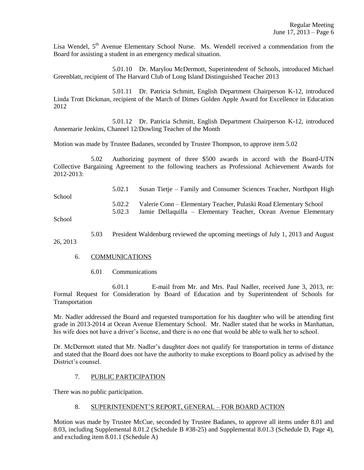Lisa Wendel, 5<sup>th</sup> Avenue Elementary School Nurse. Ms. Wendell received a commendation from the Board for assisting a student in an emergency medical situation.

5.01.10 Dr. Marylou McDermott, Superintendent of Schools, introduced Michael Greenblatt, recipient of The Harvard Club of Long Island Distinguished Teacher 2013

5.01.11 Dr. Patricia Schmitt, English Department Chairperson K-12, introduced Linda Trott Dickman, recipient of the March of Dimes Golden Apple Award for Excellence in Education 2012

5.01.12 Dr. Patricia Schmitt, English Department Chairperson K-12, introduced Annemarie Jenkins, Channel 12/Dowling Teacher of the Month

Motion was made by Trustee Badanes, seconded by Trustee Thompson, to approve item 5.02

5.02 Authorizing payment of three \$500 awards in accord with the Board-UTN Collective Bargaining Agreement to the following teachers as Professional Achievement Awards for 2012-2013:

5.02.1 Susan Tietje – Family and Consumer Sciences Teacher, Northport High School 5.02.2 Valerie Conn – Elementary Teacher, Pulaski Road Elementary School 5.02.3 Jamie Dellaquilla – Elementary Teacher, Ocean Avenue Elementary School

5.03 President Waldenburg reviewed the upcoming meetings of July 1, 2013 and August 26, 2013

### 6. COMMUNICATIONS

6.01 Communications

6.01.1 E-mail from Mr. and Mrs. Paul Nadler, received June 3, 2013, re: Formal Request for Consideration by Board of Education and by Superintendent of Schools for Transportation

Mr. Nadler addressed the Board and requested transportation for his daughter who will be attending first grade in 2013-2014 at Ocean Avenue Elementary School. Mr. Nadler stated that he works in Manhattan, his wife does not have a driver's license, and there is no one that would be able to walk her to school.

Dr. McDermott stated that Mr. Nadler's daughter does not qualify for transportation in terms of distance and stated that the Board does not have the authority to make exceptions to Board policy as advised by the District's counsel.

## 7. PUBLIC PARTICIPATION

There was no public participation.

## 8. SUPERINTENDENT'S REPORT, GENERAL – FOR BOARD ACTION

Motion was made by Trustee McCue, seconded by Trustee Badanes, to approve all items under 8.01 and 8.03, including Supplemental 8.01.2 (Schedule B #38-25) and Supplemental 8.01.3 (Schedule D, Page 4), and excluding item 8.01.1 (Schedule A)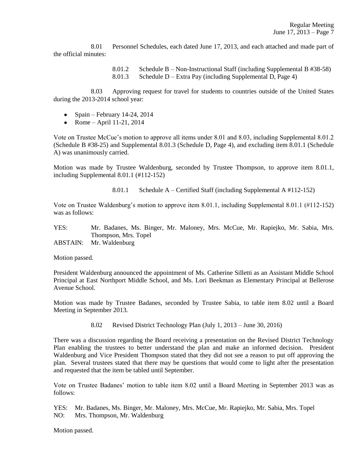8.01 Personnel Schedules, each dated June 17, 2013, and each attached and made part of the official minutes:

> 8.01.2 Schedule B – Non-Instructional Staff (including Supplemental B #38-58) 8.01.3 Schedule D – Extra Pay (including Supplemental D, Page 4)

8.03 Approving request for travel for students to countries outside of the United States during the 2013-2014 school year:

- Spain February 14-24, 2014
- Rome April 11-21, 2014

Vote on Trustee McCue's motion to approve all items under 8.01 and 8.03, including Supplemental 8.01.2 (Schedule B #38-25) and Supplemental 8.01.3 (Schedule D, Page 4), and excluding item 8.01.1 (Schedule A) was unanimously carried.

Motion was made by Trustee Waldenburg, seconded by Trustee Thompson, to approve item 8.01.1, including Supplemental 8.01.1 (#112-152)

8.01.1 Schedule A – Certified Staff (including Supplemental A #112-152)

Vote on Trustee Waldenburg's motion to approve item 8.01.1, including Supplemental 8.01.1 (#112-152) was as follows:

YES: Mr. Badanes, Ms. Binger, Mr. Maloney, Mrs. McCue, Mr. Rapiejko, Mr. Sabia, Mrs. Thompson, Mrs. Topel

ABSTAIN: Mr. Waldenburg

Motion passed.

President Waldenburg announced the appointment of Ms. Catherine Silletti as an Assistant Middle School Principal at East Northport Middle School, and Ms. Lori Beekman as Elementary Principal at Bellerose Avenue School.

Motion was made by Trustee Badanes, seconded by Trustee Sabia, to table item 8.02 until a Board Meeting in September 2013.

8.02 Revised District Technology Plan (July 1, 2013 – June 30, 2016)

There was a discussion regarding the Board receiving a presentation on the Revised District Technology Plan enabling the trustees to better understand the plan and make an informed decision. President Waldenburg and Vice President Thompson stated that they did not see a reason to put off approving the plan. Several trustees stated that there may be questions that would come to light after the presentation and requested that the item be tabled until September.

Vote on Trustee Badanes' motion to table item 8.02 until a Board Meeting in September 2013 was as follows:

YES: Mr. Badanes, Ms. Binger, Mr. Maloney, Mrs. McCue, Mr. Rapiejko, Mr. Sabia, Mrs. Topel NO: Mrs. Thompson, Mr. Waldenburg

Motion passed.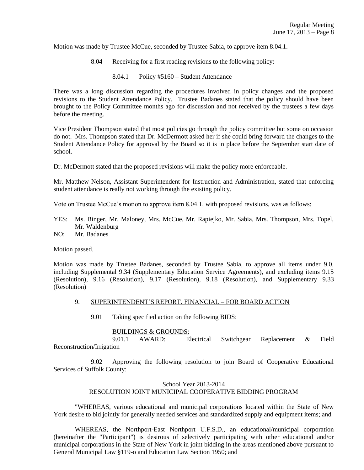Motion was made by Trustee McCue, seconded by Trustee Sabia, to approve item 8.04.1.

- 8.04 Receiving for a first reading revisions to the following policy:
	- 8.04.1 Policy #5160 Student Attendance

There was a long discussion regarding the procedures involved in policy changes and the proposed revisions to the Student Attendance Policy. Trustee Badanes stated that the policy should have been brought to the Policy Committee months ago for discussion and not received by the trustees a few days before the meeting.

Vice President Thompson stated that most policies go through the policy committee but some on occasion do not. Mrs. Thompson stated that Dr. McDermott asked her if she could bring forward the changes to the Student Attendance Policy for approval by the Board so it is in place before the September start date of school.

Dr. McDermott stated that the proposed revisions will make the policy more enforceable.

Mr. Matthew Nelson, Assistant Superintendent for Instruction and Administration, stated that enforcing student attendance is really not working through the existing policy.

Vote on Trustee McCue's motion to approve item 8.04.1, with proposed revisions, was as follows:

- YES: Ms. Binger, Mr. Maloney, Mrs. McCue, Mr. Rapiejko, Mr. Sabia, Mrs. Thompson, Mrs. Topel, Mr. Waldenburg
- NO: Mr. Badanes

Motion passed.

Motion was made by Trustee Badanes, seconded by Trustee Sabia, to approve all items under 9.0, including Supplemental 9.34 (Supplementary Education Service Agreements), and excluding items 9.15 (Resolution), 9.16 (Resolution), 9.17 (Resolution), 9.18 (Resolution), and Supplementary 9.33 (Resolution)

#### 9. SUPERINTENDENT'S REPORT, FINANCIAL – FOR BOARD ACTION

9.01 Taking specified action on the following BIDS:

#### BUILDINGS & GROUNDS:

9.01.1 AWARD: Electrical Switchgear Replacement & Field Reconstruction/Irrigation

9.02 Approving the following resolution to join Board of Cooperative Educational Services of Suffolk County:

#### School Year 2013-2014

### RESOLUTION JOINT MUNICIPAL COOPERATIVE BIDDING PROGRAM

"WHEREAS, various educational and municipal corporations located within the State of New York desire to bid jointly for generally needed services and standardized supply and equipment items; and

WHEREAS, the Northport-East Northport U.F.S.D., an educational/municipal corporation (hereinafter the "Participant") is desirous of selectively participating with other educational and/or municipal corporations in the State of New York in joint bidding in the areas mentioned above pursuant to General Municipal Law §119-o and Education Law Section 1950; and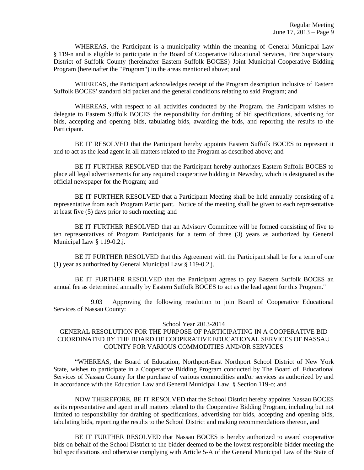WHEREAS, the Participant is a municipality within the meaning of General Municipal Law § 119-n and is eligible to participate in the Board of Cooperative Educational Services, First Supervisory District of Suffolk County (hereinafter Eastern Suffolk BOCES) Joint Municipal Cooperative Bidding Program (hereinafter the "Program") in the areas mentioned above; and

WHEREAS, the Participant acknowledges receipt of the Program description inclusive of Eastern Suffolk BOCES' standard bid packet and the general conditions relating to said Program; and

WHEREAS, with respect to all activities conducted by the Program, the Participant wishes to delegate to Eastern Suffolk BOCES the responsibility for drafting of bid specifications, advertising for bids, accepting and opening bids, tabulating bids, awarding the bids, and reporting the results to the Participant.

BE IT RESOLVED that the Participant hereby appoints Eastern Suffolk BOCES to represent it and to act as the lead agent in all matters related to the Program as described above; and

BE IT FURTHER RESOLVED that the Participant hereby authorizes Eastern Suffolk BOCES to place all legal advertisements for any required cooperative bidding in Newsday, which is designated as the official newspaper for the Program; and

BE IT FURTHER RESOLVED that a Participant Meeting shall be held annually consisting of a representative from each Program Participant. Notice of the meeting shall be given to each representative at least five (5) days prior to such meeting; and

BE IT FURTHER RESOLVED that an Advisory Committee will be formed consisting of five to ten representatives of Program Participants for a term of three (3) years as authorized by General Municipal Law § 119-0.2.j.

BE IT FURTHER RESOLVED that this Agreement with the Participant shall be for a term of one (1) year as authorized by General Municipal Law § 119-0.2.j.

BE IT FURTHER RESOLVED that the Participant agrees to pay Eastern Suffolk BOCES an annual fee as determined annually by Eastern Suffolk BOCES to act as the lead agent for this Program."

9.03 Approving the following resolution to join Board of Cooperative Educational Services of Nassau County:

### School Year 2013-2014

## GENERAL RESOLUTION FOR THE PURPOSE OF PARTICIPATING IN A COOPERATIVE BID COORDINATED BY THE BOARD OF COOPERATIVE EDUCATIONAL SERVICES OF NASSAU COUNTY FOR VARIOUS COMMODITIES AND/OR SERVICES

"WHEREAS, the Board of Education, Northport-East Northport School District of New York State, wishes to participate in a Cooperative Bidding Program conducted by The Board of Educational Services of Nassau County for the purchase of various commodities and/or services as authorized by and in accordance with the Education Law and General Municipal Law, § Section 119-o; and

NOW THEREFORE, BE IT RESOLVED that the School District hereby appoints Nassau BOCES as its representative and agent in all matters related to the Cooperative Bidding Program, including but not limited to responsibility for drafting of specifications, advertising for bids, accepting and opening bids, tabulating bids, reporting the results to the School District and making recommendations thereon, and

BE IT FURTHER RESOLVED that Nassau BOCES is hereby authorized to award cooperative bids on behalf of the School District to the bidder deemed to be the lowest responsible bidder meeting the bid specifications and otherwise complying with Article 5-A of the General Municipal Law of the State of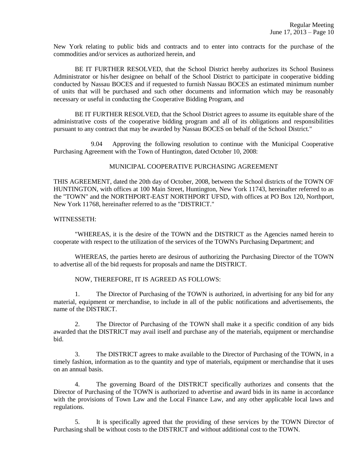New York relating to public bids and contracts and to enter into contracts for the purchase of the commodities and/or services as authorized herein, and

BE IT FURTHER RESOLVED, that the School District hereby authorizes its School Business Administrator or his/her designee on behalf of the School District to participate in cooperative bidding conducted by Nassau BOCES and if requested to furnish Nassau BOCES an estimated minimum number of units that will be purchased and such other documents and information which may be reasonably necessary or useful in conducting the Cooperative Bidding Program, and

BE IT FURTHER RESOLVED, that the School District agrees to assume its equitable share of the administrative costs of the cooperative bidding program and all of its obligations and responsibilities pursuant to any contract that may be awarded by Nassau BOCES on behalf of the School District."

9.04 Approving the following resolution to continue with the Municipal Cooperative Purchasing Agreement with the Town of Huntington, dated October 10, 2008:

### MUNICIPAL COOPERATIVE PURCHASING AGREEMENT

THIS AGREEMENT, dated the 20th day of October, 2008, between the School districts of the TOWN OF HUNTINGTON, with offices at 100 Main Street, Huntington, New York 11743, hereinafter referred to as the "TOWN" and the NORTHPORT-EAST NORTHPORT UFSD, with offices at PO Box 120, Northport, New York 11768, hereinafter referred to as the "DISTRICT."

### WITNESSETH:

"WHEREAS, it is the desire of the TOWN and the DISTRICT as the Agencies named herein to cooperate with respect to the utilization of the services of the TOWN's Purchasing Department; and

WHEREAS, the parties hereto are desirous of authorizing the Purchasing Director of the TOWN to advertise all of the bid requests for proposals and name the DISTRICT.

NOW, THEREFORE, IT IS AGREED AS FOLLOWS:

1. The Director of Purchasing of the TOWN is authorized, in advertising for any bid for any material, equipment or merchandise, to include in all of the public notifications and advertisements, the name of the DISTRICT.

2. The Director of Purchasing of the TOWN shall make it a specific condition of any bids awarded that the DISTRICT may avail itself and purchase any of the materials, equipment or merchandise bid.

3. The DISTRICT agrees to make available to the Director of Purchasing of the TOWN, in a timely fashion, information as to the quantity and type of materials, equipment or merchandise that it uses on an annual basis.

4. The governing Board of the DISTRICT specifically authorizes and consents that the Director of Purchasing of the TOWN is authorized to advertise and award bids in its name in accordance with the provisions of Town Law and the Local Finance Law, and any other applicable local laws and regulations.

5. It is specifically agreed that the providing of these services by the TOWN Director of Purchasing shall be without costs to the DISTRICT and without additional cost to the TOWN.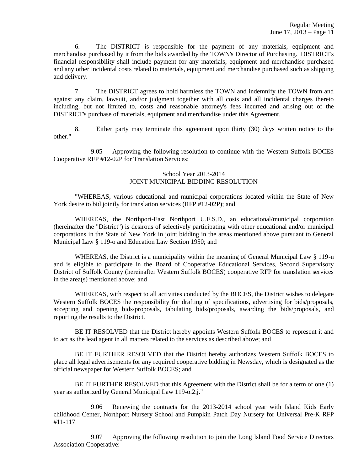6. The DISTRICT is responsible for the payment of any materials, equipment and merchandise purchased by it from the bids awarded by the TOWN's Director of Purchasing. DISTRICT's financial responsibility shall include payment for any materials, equipment and merchandise purchased and any other incidental costs related to materials, equipment and merchandise purchased such as shipping and delivery.

7. The DISTRICT agrees to hold harmless the TOWN and indemnify the TOWN from and against any claim, lawsuit, and/or judgment together with all costs and all incidental charges thereto including, but not limited to, costs and reasonable attorney's fees incurred and arising out of the DISTRICT's purchase of materials, equipment and merchandise under this Agreement.

8. Either party may terminate this agreement upon thirty (30) days written notice to the other."

9.05 Approving the following resolution to continue with the Western Suffolk BOCES Cooperative RFP #12-02P for Translation Services:

### School Year 2013-2014 JOINT MUNICIPAL BIDDING RESOLUTION

"WHEREAS, various educational and municipal corporations located within the State of New York desire to bid jointly for translation services (RFP #12-02P); and

WHEREAS, the Northport-East Northport U.F.S.D., an educational/municipal corporation (hereinafter the "District") is desirous of selectively participating with other educational and/or municipal corporations in the State of New York in joint bidding in the areas mentioned above pursuant to General Municipal Law § 119-o and Education Law Section 1950; and

WHEREAS, the District is a municipality within the meaning of General Municipal Law § 119-n and is eligible to participate in the Board of Cooperative Educational Services, Second Supervisory District of Suffolk County (hereinafter Western Suffolk BOCES) cooperative RFP for translation services in the area(s) mentioned above; and

WHEREAS, with respect to all activities conducted by the BOCES, the District wishes to delegate Western Suffolk BOCES the responsibility for drafting of specifications, advertising for bids/proposals, accepting and opening bids/proposals, tabulating bids/proposals, awarding the bids/proposals, and reporting the results to the District.

BE IT RESOLVED that the District hereby appoints Western Suffolk BOCES to represent it and to act as the lead agent in all matters related to the services as described above; and

BE IT FURTHER RESOLVED that the District hereby authorizes Western Suffolk BOCES to place all legal advertisements for any required cooperative bidding in Newsday, which is designated as the official newspaper for Western Suffolk BOCES; and

BE IT FURTHER RESOLVED that this Agreement with the District shall be for a term of one (1) year as authorized by General Municipal Law 119-o.2.j."

9.06 Renewing the contracts for the 2013-2014 school year with Island Kids Early childhood Center, Northport Nursery School and Pumpkin Patch Day Nursery for Universal Pre-K RFP #11-117

9.07 Approving the following resolution to join the Long Island Food Service Directors Association Cooperative: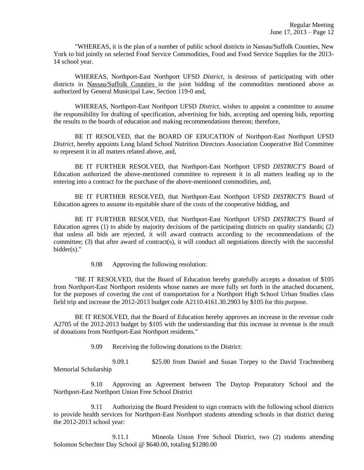"WHEREAS, it is the plan of a number of public school districts in Nassau/Suffolk Counties, New York to bid jointly on selected Food Service Commodities, Food and Food Service Supplies for the 2013- 14 school year.

WHEREAS, Northport-East Northport UFSD *District,* is desirous of participating with other districts in Nassau/Suffolk Counties in the joint bidding of the commodities mentioned above as authorized by General Municipal Law, Section 119-0 and,

WHEREAS, Northport-East Northport UFSD *District*, wishes to appoint a committee to assume the responsibility for drafting of specification, advertising for bids, accepting and opening bids, reporting the results to the boards of education and making recommendations thereon; therefore,

BE IT RESOLVED, that the BOARD OF EDUCATION of Northport-East Northport UFSD *District*, hereby appoints Long Island School Nutrition Directors Association Cooperative Bid Committee to represent it in all matters related above, and,

BE IT FURTHER RESOLVED, that Northport-East Northport UFSD *DISTRICT'S* Board of Education authorized the above-mentioned committee to represent it in all matters leading up to the entering into a contract for the purchase of the above-mentioned commodities, and,

BE IT FURTHER RESOLVED, that Northport-East Northport UFSD *DISTRICT'S* Board of Education agrees to assume its equitable share of the costs of the cooperative bidding, and

BE IT FURTHER RESOLVED, that Northport-East Northport UFSD *DISTRICT'S* Board of Education agrees (1) to abide by majority decisions of the participating districts on quality standards; (2) that unless all bids are rejected, it will award contracts according to the recommendations of the committee; (3) that after award of contract(s), it will conduct all negotiations directly with the successful bidder(s)."

9.08 Approving the following resolution:

"BE IT RESOLVED, that the Board of Education hereby gratefully accepts a donation of \$105 from Northport-East Northport residents whose names are more fully set forth in the attached document, for the purposes of covering the cost of transportation for a Northport High School Urban Studies class field trip and increase the 2012-2013 budget code A2110.4161.30.2903 by \$105 for this purpose.

BE IT RESOLVED, that the Board of Education hereby approves an increase in the revenue code A2705 of the 2012-2013 budget by \$105 with the understanding that this increase in revenue is the result of donations from Northport-East Northport residents."

9.09 Receiving the following donations to the District:

9.09.1 \$25.00 from Daniel and Susan Torpey to the David Trachtenberg Memorial Scholarship

9.10 Approving an Agreement between The Daytop Preparatory School and the Northport-East Northport Union Free School District

9.11 Authorizing the Board President to sign contracts with the following school districts to provide health services for Northport-East Northport students attending schools in that district during the 2012-2013 school year:

9.11.1 Mineola Union Free School District, two (2) students attending Solomon Schechter Day School @ \$640.00, totaling \$1280.00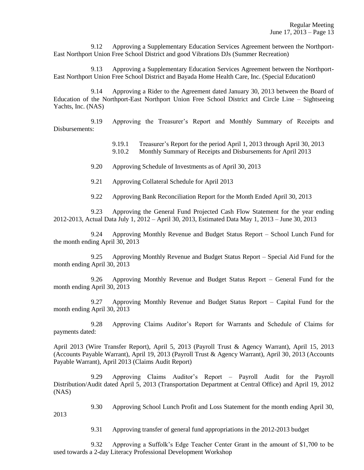9.12 Approving a Supplementary Education Services Agreement between the Northport-East Northport Union Free School District and good Vibrations DJs (Summer Recreation)

9.13 Approving a Supplementary Education Services Agreement between the Northport-East Northport Union Free School District and Bayada Home Health Care, Inc. (Special Education0

9.14 Approving a Rider to the Agreement dated January 30, 2013 between the Board of Education of the Northport-East Northport Union Free School District and Circle Line – Sightseeing Yachts, Inc. (NAS)

9.19 Approving the Treasurer's Report and Monthly Summary of Receipts and Disbursements:

9.19.1 Treasurer's Report for the period April 1, 2013 through April 30, 2013

9.10.2 Monthly Summary of Receipts and Disbursements for April 2013

9.20 Approving Schedule of Investments as of April 30, 2013

9.21 Approving Collateral Schedule for April 2013

9.22 Approving Bank Reconciliation Report for the Month Ended April 30, 2013

9.23 Approving the General Fund Projected Cash Flow Statement for the year ending 2012-2013, Actual Data July 1, 2012 – April 30, 2013, Estimated Data May 1, 2013 – June 30, 2013

9.24 Approving Monthly Revenue and Budget Status Report – School Lunch Fund for the month ending April 30, 2013

9.25 Approving Monthly Revenue and Budget Status Report – Special Aid Fund for the month ending April 30, 2013

9.26 Approving Monthly Revenue and Budget Status Report – General Fund for the month ending April 30, 2013

9.27 Approving Monthly Revenue and Budget Status Report – Capital Fund for the month ending April 30, 2013

9.28 Approving Claims Auditor's Report for Warrants and Schedule of Claims for payments dated:

April 2013 (Wire Transfer Report), April 5, 2013 (Payroll Trust & Agency Warrant), April 15, 2013 (Accounts Payable Warrant), April 19, 2013 (Payroll Trust & Agency Warrant), April 30, 2013 (Accounts Payable Warrant), April 2013 (Claims Audit Report)

9.29 Approving Claims Auditor's Report – Payroll Audit for the Payroll Distribution/Audit dated April 5, 2013 (Transportation Department at Central Office) and April 19, 2012 (NAS)

9.30 Approving School Lunch Profit and Loss Statement for the month ending April 30,

2013

9.31 Approving transfer of general fund appropriations in the 2012-2013 budget

9.32 Approving a Suffolk's Edge Teacher Center Grant in the amount of \$1,700 to be used towards a 2-day Literacy Professional Development Workshop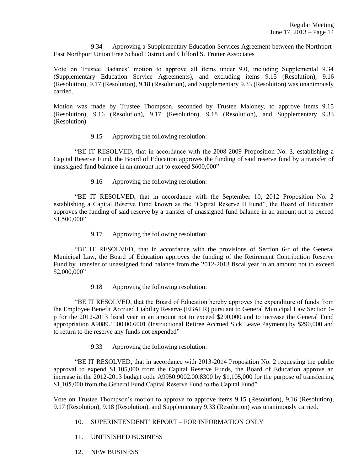9.34 Approving a Supplementary Education Services Agreement between the Northport-East Northport Union Free School District and Clifford S. Trotter Associates

Vote on Trustee Badanes' motion to approve all items under 9.0, including Supplemental 9.34 (Supplementary Education Service Agreements), and excluding items 9.15 (Resolution), 9.16 (Resolution), 9.17 (Resolution), 9.18 (Resolution), and Supplementary 9.33 (Resolution) was unanimously carried.

Motion was made by Trustee Thompson, seconded by Trustee Maloney, to approve items 9.15 (Resolution), 9.16 (Resolution), 9.17 (Resolution), 9.18 (Resolution), and Supplementary 9.33 (Resolution)

9.15 Approving the following resolution:

"BE IT RESOLVED, that in accordance with the 2008-2009 Proposition No. 3, establishing a Capital Reserve Fund, the Board of Education approves the funding of said reserve fund by a transfer of unassigned fund balance in an amount not to exceed \$600,000"

9.16 Approving the following resolution:

"BE IT RESOLVED, that in accordance with the September 10, 2012 Proposition No. 2 establishing a Capital Reserve Fund known as the "Capital Reserve II Fund", the Board of Education approves the funding of said reserve by a transfer of unassigned fund balance in an amount not to exceed  $$1,500,000"$ 

9.17 Approving the following resolution:

"BE IT RESOLVED, that in accordance with the provisions of Section 6-r of the General Municipal Law, the Board of Education approves the funding of the Retirement Contribution Reserve Fund by transfer of unassigned fund balance from the 2012-2013 fiscal year in an amount not to exceed \$2,000,000"

9.18 Approving the following resolution:

"BE IT RESOLVED, that the Board of Education hereby approves the expenditure of funds from the Employee Benefit Accrued Liability Reserve (EBALR) pursuant to General Municipal Law Section 6 p for the 2012-2013 fiscal year in an amount not to exceed \$290,000 and to increase the General Fund appropriation A9089.1500.00.6001 (Instructional Retiree Accrued Sick Leave Payment) by \$290,000 and to return to the reserve any funds not expended"

9.33 Approving the following resolution:

"BE IT RESOLVED, that in accordance with 2013-2014 Proposition No. 2 requesting the public approval to expend \$1,105,000 from the Capital Reserve Funds, the Board of Education approve an increase in the 2012-2013 budget code A9950.9002.00.8300 by \$1,105,000 for the purpose of transferring \$1,105,000 from the General Fund Capital Reserve Fund to the Capital Fund"

Vote on Trustee Thompson's motion to approve to approve items 9.15 (Resolution), 9.16 (Resolution), 9.17 (Resolution), 9.18 (Resolution), and Supplementary 9.33 (Resolution) was unanimously carried.

- 10. SUPERINTENDENT' REPORT FOR INFORMATION ONLY
- 11. UNFINISHED BUSINESS
- 12. NEW BUSINESS